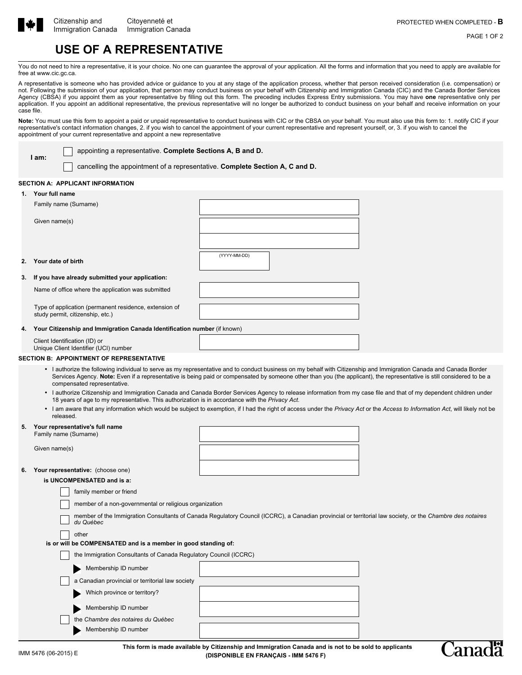

**I am:**

`ana

PAGE 1 OF 2

# **USE OF A REPRESENTATIVE**

You do not need to hire a representative, it is your choice. No one can guarantee the approval of your application. All the forms and information that you need to apply are available for free at www.cic.gc.ca.

A representative is someone who has provided advice or guidance to you at any stage of the application process, whether that person received consideration (i.e. compensation) or not. Following the submission of your application, that person may conduct business on your behalf with Citizenship and Immigration Canada (CIC) and the Canada Border Services Agency (CBSA) if you appoint them as your representative by filling out this form. The preceding includes Express Entry submissions. You may have **one** representative only per application. If you appoint an additional representative, the previous representative will no longer be authorized to conduct business on your behalf and receive information on your case file.

Note: You must use this form to appoint a paid or unpaid representative to conduct business with CIC or the CBSA on your behalf. You must also use this form to: 1. notify CIC if your representative's contact information changes, 2. if you wish to cancel the appointment of your current representative and represent yourself, or, 3. if you wish to cancel the appointment of your current representative and appoint a new representative

appointing a representative. **Complete Sections A, B and D.**

cancelling the appointment of a representative. **Complete Section A, C and D.**

### **SECTION A: APPLICANT INFORMATION**

| 1.                                                                                                                                                                                                                                                                     | Your full name                                                                             |                                                                                                                                                                                                                                                                                                                                               |  |  |
|------------------------------------------------------------------------------------------------------------------------------------------------------------------------------------------------------------------------------------------------------------------------|--------------------------------------------------------------------------------------------|-----------------------------------------------------------------------------------------------------------------------------------------------------------------------------------------------------------------------------------------------------------------------------------------------------------------------------------------------|--|--|
|                                                                                                                                                                                                                                                                        | Family name (Surname)                                                                      |                                                                                                                                                                                                                                                                                                                                               |  |  |
|                                                                                                                                                                                                                                                                        | Given name(s)                                                                              |                                                                                                                                                                                                                                                                                                                                               |  |  |
|                                                                                                                                                                                                                                                                        |                                                                                            |                                                                                                                                                                                                                                                                                                                                               |  |  |
| 2.                                                                                                                                                                                                                                                                     | Your date of birth                                                                         | (YYYY-MM-DD)                                                                                                                                                                                                                                                                                                                                  |  |  |
| З.                                                                                                                                                                                                                                                                     | If you have already submitted your application:                                            |                                                                                                                                                                                                                                                                                                                                               |  |  |
|                                                                                                                                                                                                                                                                        | Name of office where the application was submitted                                         |                                                                                                                                                                                                                                                                                                                                               |  |  |
|                                                                                                                                                                                                                                                                        | Type of application (permanent residence, extension of<br>study permit, citizenship, etc.) |                                                                                                                                                                                                                                                                                                                                               |  |  |
| 4.                                                                                                                                                                                                                                                                     | Your Citizenship and Immigration Canada Identification number (if known)                   |                                                                                                                                                                                                                                                                                                                                               |  |  |
|                                                                                                                                                                                                                                                                        | Client Identification (ID) or<br>Unique Client Identifier (UCI) number                     |                                                                                                                                                                                                                                                                                                                                               |  |  |
|                                                                                                                                                                                                                                                                        | <b>SECTION B: APPOINTMENT OF REPRESENTATIVE</b>                                            |                                                                                                                                                                                                                                                                                                                                               |  |  |
|                                                                                                                                                                                                                                                                        | compensated representative.                                                                | • I authorize the following individual to serve as my representative and to conduct business on my behalf with Citizenship and Immigration Canada and Canada Border<br>Services Agency. Note: Even if a representative is being paid or compensated by someone other than you (the applicant), the representative is still considered to be a |  |  |
| • I authorize Citizenship and Immigration Canada and Canada Border Services Agency to release information from my case file and that of my dependent children under<br>18 years of age to my representative. This authorization is in accordance with the Privacy Act. |                                                                                            |                                                                                                                                                                                                                                                                                                                                               |  |  |
|                                                                                                                                                                                                                                                                        | released.                                                                                  | • I am aware that any information which would be subject to exemption, if I had the right of access under the Privacy Act or the Access to Information Act, will likely not be                                                                                                                                                                |  |  |
| 5.                                                                                                                                                                                                                                                                     | Your representative's full name<br>Family name (Surname)                                   |                                                                                                                                                                                                                                                                                                                                               |  |  |

Given name(s)

#### **6. Your representative:** (choose one)

**is UNCOMPENSATED and is a:**

|                                                                         | family member or friend                                                                                                                                                |  |  |  |  |  |
|-------------------------------------------------------------------------|------------------------------------------------------------------------------------------------------------------------------------------------------------------------|--|--|--|--|--|
|                                                                         | member of a non-governmental or religious organization                                                                                                                 |  |  |  |  |  |
|                                                                         | member of the Immigration Consultants of Canada Regulatory Council (ICCRC), a Canadian provincial or territorial law society, or the Chambre des notaires<br>du Québec |  |  |  |  |  |
| other<br>is or will be COMPENSATED and is a member in good standing of: |                                                                                                                                                                        |  |  |  |  |  |
|                                                                         | the Immigration Consultants of Canada Regulatory Council (ICCRC)                                                                                                       |  |  |  |  |  |
|                                                                         | Membership ID number                                                                                                                                                   |  |  |  |  |  |
|                                                                         | a Canadian provincial or territorial law society                                                                                                                       |  |  |  |  |  |
|                                                                         | Which province or territory?                                                                                                                                           |  |  |  |  |  |
|                                                                         | Membership ID number                                                                                                                                                   |  |  |  |  |  |
|                                                                         | the Chambre des notaires du Québec                                                                                                                                     |  |  |  |  |  |
|                                                                         | Membership ID number                                                                                                                                                   |  |  |  |  |  |
|                                                                         |                                                                                                                                                                        |  |  |  |  |  |